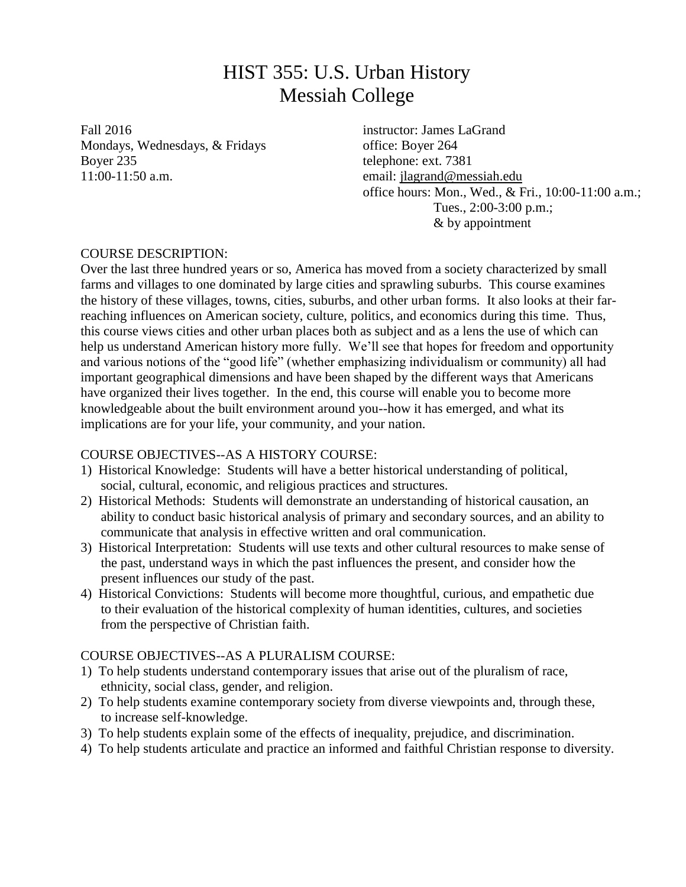# HIST 355: U.S. Urban History Messiah College

Fall 2016 **instructor:** James LaGrand Mondays, Wednesdays, & Fridays office: Boyer 264 Boyer 235 telephone: ext. 7381 11:00-11:50 a.m. email: [jlagrand@messiah.edu](mailto:jlagrand@messiah.edu)

office hours: Mon., Wed., & Fri., 10:00-11:00 a.m.; Tues., 2:00-3:00 p.m.; & by appointment

# COURSE DESCRIPTION:

Over the last three hundred years or so, America has moved from a society characterized by small farms and villages to one dominated by large cities and sprawling suburbs. This course examines the history of these villages, towns, cities, suburbs, and other urban forms. It also looks at their farreaching influences on American society, culture, politics, and economics during this time. Thus, this course views cities and other urban places both as subject and as a lens the use of which can help us understand American history more fully. We'll see that hopes for freedom and opportunity and various notions of the "good life" (whether emphasizing individualism or community) all had important geographical dimensions and have been shaped by the different ways that Americans have organized their lives together. In the end, this course will enable you to become more knowledgeable about the built environment around you--how it has emerged, and what its implications are for your life, your community, and your nation.

# COURSE OBJECTIVES--AS A HISTORY COURSE:

- 1) Historical Knowledge: Students will have a better historical understanding of political, social, cultural, economic, and religious practices and structures.
- 2) Historical Methods: Students will demonstrate an understanding of historical causation, an ability to conduct basic historical analysis of primary and secondary sources, and an ability to communicate that analysis in effective written and oral communication.
- 3) Historical Interpretation: Students will use texts and other cultural resources to make sense of the past, understand ways in which the past influences the present, and consider how the present influences our study of the past.
- 4) Historical Convictions: Students will become more thoughtful, curious, and empathetic due to their evaluation of the historical complexity of human identities, cultures, and societies from the perspective of Christian faith.

# COURSE OBJECTIVES--AS A PLURALISM COURSE:

- 1) To help students understand contemporary issues that arise out of the pluralism of race, ethnicity, social class, gender, and religion.
- 2) To help students examine contemporary society from diverse viewpoints and, through these, to increase self-knowledge.
- 3) To help students explain some of the effects of inequality, prejudice, and discrimination.
- 4) To help students articulate and practice an informed and faithful Christian response to diversity.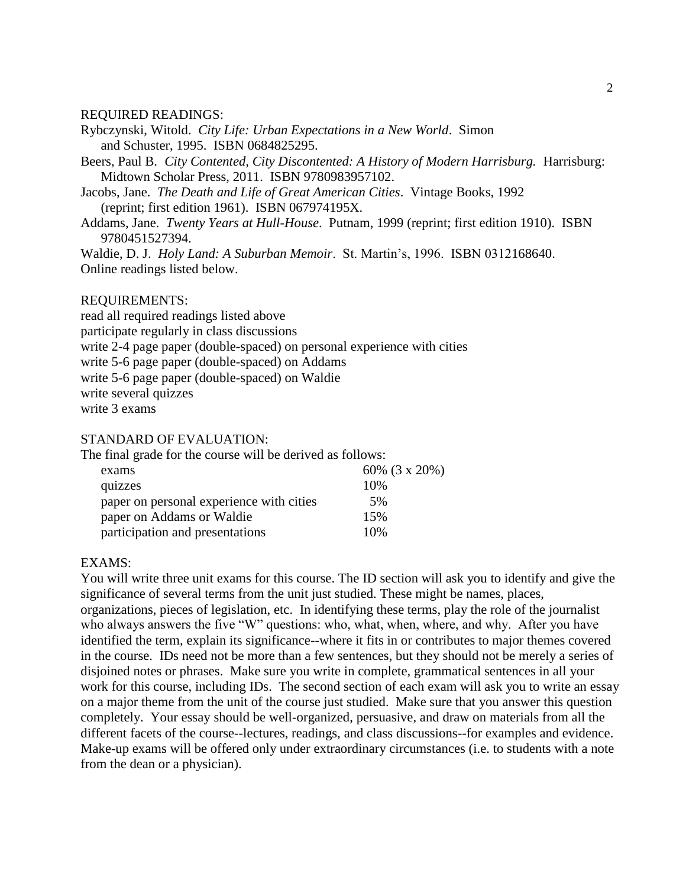#### REQUIRED READINGS:

- Rybczynski, Witold. *City Life: Urban Expectations in a New World*. Simon and Schuster, 1995. ISBN 0684825295.
- Beers, Paul B. *City Contented, City Discontented: A History of Modern Harrisburg.* Harrisburg: Midtown Scholar Press, 2011. ISBN 9780983957102.
- Jacobs, Jane. *The Death and Life of Great American Cities*. Vintage Books, 1992 (reprint; first edition 1961). ISBN 067974195X.
- Addams, Jane. *Twenty Years at Hull-House*. Putnam, 1999 (reprint; first edition 1910). ISBN 9780451527394.

Waldie, D. J. *Holy Land: A Suburban Memoir*. St. Martin's, 1996. ISBN 0312168640. Online readings listed below.

#### REQUIREMENTS:

read all required readings listed above participate regularly in class discussions write 2-4 page paper (double-spaced) on personal experience with cities write 5-6 page paper (double-spaced) on Addams write 5-6 page paper (double-spaced) on Waldie write several quizzes write 3 exams

## STANDARD OF EVALUATION:

The final grade for the course will be derived as follows:

| exams                                    | 60% (3 x 20%) |
|------------------------------------------|---------------|
| quizzes                                  | 10%           |
| paper on personal experience with cities | 5%            |
| paper on Addams or Waldie                | 15%           |
| participation and presentations          | 10%           |

#### EXAMS:

You will write three unit exams for this course. The ID section will ask you to identify and give the significance of several terms from the unit just studied. These might be names, places, organizations, pieces of legislation, etc. In identifying these terms, play the role of the journalist who always answers the five "W" questions: who, what, when, where, and why. After you have identified the term, explain its significance--where it fits in or contributes to major themes covered in the course. IDs need not be more than a few sentences, but they should not be merely a series of disjoined notes or phrases. Make sure you write in complete, grammatical sentences in all your work for this course, including IDs. The second section of each exam will ask you to write an essay on a major theme from the unit of the course just studied. Make sure that you answer this question completely. Your essay should be well-organized, persuasive, and draw on materials from all the different facets of the course--lectures, readings, and class discussions--for examples and evidence. Make-up exams will be offered only under extraordinary circumstances (i.e. to students with a note from the dean or a physician).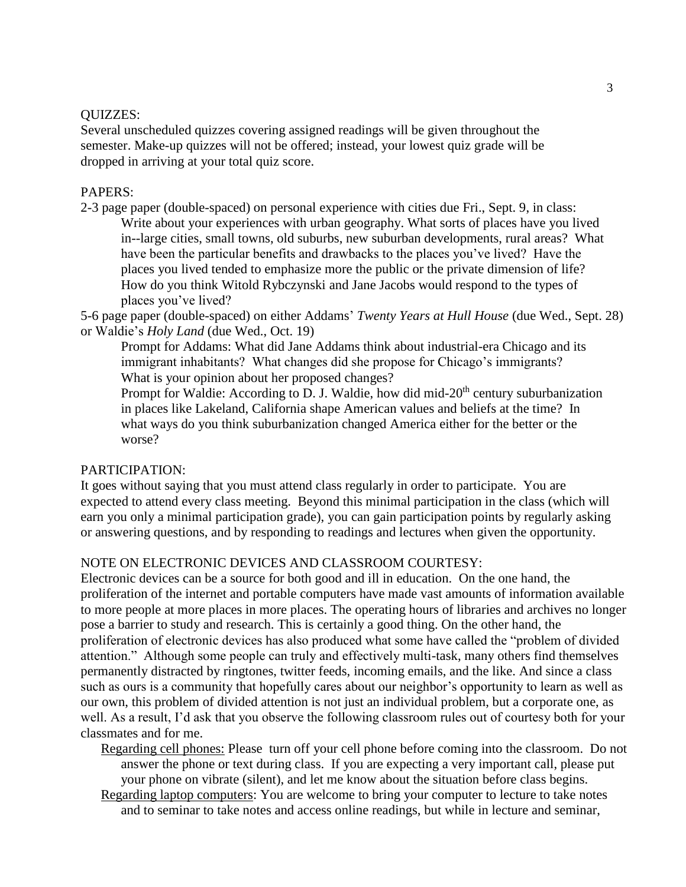## QUIZZES:

Several unscheduled quizzes covering assigned readings will be given throughout the semester. Make-up quizzes will not be offered; instead, your lowest quiz grade will be dropped in arriving at your total quiz score.

### PAPERS:

2-3 page paper (double-spaced) on personal experience with cities due Fri., Sept. 9, in class: Write about your experiences with urban geography. What sorts of places have you lived in--large cities, small towns, old suburbs, new suburban developments, rural areas? What have been the particular benefits and drawbacks to the places you've lived? Have the places you lived tended to emphasize more the public or the private dimension of life? How do you think Witold Rybczynski and Jane Jacobs would respond to the types of places you've lived?

5-6 page paper (double-spaced) on either Addams' *Twenty Years at Hull House* (due Wed., Sept. 28) or Waldie's *Holy Land* (due Wed., Oct. 19)

Prompt for Addams: What did Jane Addams think about industrial-era Chicago and its immigrant inhabitants? What changes did she propose for Chicago's immigrants? What is your opinion about her proposed changes?

Prompt for Waldie: According to D. J. Waldie, how did mid-20<sup>th</sup> century suburbanization in places like Lakeland, California shape American values and beliefs at the time? In what ways do you think suburbanization changed America either for the better or the worse?

# PARTICIPATION:

It goes without saying that you must attend class regularly in order to participate. You are expected to attend every class meeting. Beyond this minimal participation in the class (which will earn you only a minimal participation grade), you can gain participation points by regularly asking or answering questions, and by responding to readings and lectures when given the opportunity.

# NOTE ON ELECTRONIC DEVICES AND CLASSROOM COURTESY:

Electronic devices can be a source for both good and ill in education. On the one hand, the proliferation of the internet and portable computers have made vast amounts of information available to more people at more places in more places. The operating hours of libraries and archives no longer pose a barrier to study and research. This is certainly a good thing. On the other hand, the proliferation of electronic devices has also produced what some have called the "problem of divided attention." Although some people can truly and effectively multi-task, many others find themselves permanently distracted by ringtones, twitter feeds, incoming emails, and the like. And since a class such as ours is a community that hopefully cares about our neighbor's opportunity to learn as well as our own, this problem of divided attention is not just an individual problem, but a corporate one, as well. As a result, I'd ask that you observe the following classroom rules out of courtesy both for your classmates and for me.

Regarding cell phones: Please turn off your cell phone before coming into the classroom. Do not answer the phone or text during class. If you are expecting a very important call, please put your phone on vibrate (silent), and let me know about the situation before class begins.

Regarding laptop computers: You are welcome to bring your computer to lecture to take notes and to seminar to take notes and access online readings, but while in lecture and seminar,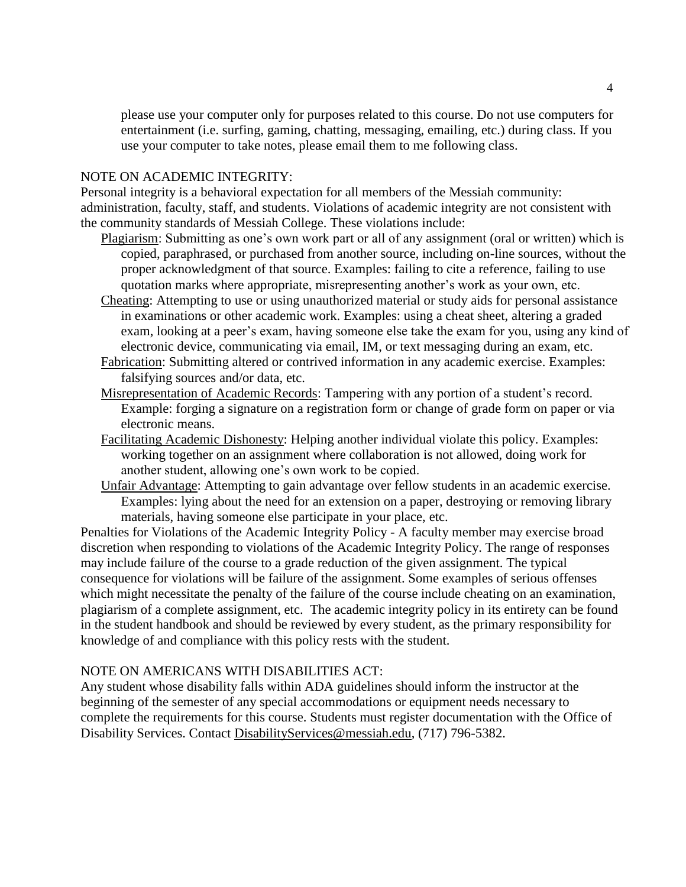please use your computer only for purposes related to this course. Do not use computers for entertainment (i.e. surfing, gaming, chatting, messaging, emailing, etc.) during class. If you use your computer to take notes, please email them to me following class.

### NOTE ON ACADEMIC INTEGRITY:

Personal integrity is a behavioral expectation for all members of the Messiah community: administration, faculty, staff, and students. Violations of academic integrity are not consistent with the community standards of Messiah College. These violations include:

- Plagiarism: Submitting as one's own work part or all of any assignment (oral or written) which is copied, paraphrased, or purchased from another source, including on-line sources, without the proper acknowledgment of that source. Examples: failing to cite a reference, failing to use quotation marks where appropriate, misrepresenting another's work as your own, etc.
- Cheating: Attempting to use or using unauthorized material or study aids for personal assistance in examinations or other academic work. Examples: using a cheat sheet, altering a graded exam, looking at a peer's exam, having someone else take the exam for you, using any kind of electronic device, communicating via email, IM, or text messaging during an exam, etc.
- Fabrication: Submitting altered or contrived information in any academic exercise. Examples: falsifying sources and/or data, etc.
- Misrepresentation of Academic Records: Tampering with any portion of a student's record. Example: forging a signature on a registration form or change of grade form on paper or via electronic means.
- Facilitating Academic Dishonesty: Helping another individual violate this policy. Examples: working together on an assignment where collaboration is not allowed, doing work for another student, allowing one's own work to be copied.
- Unfair Advantage: Attempting to gain advantage over fellow students in an academic exercise. Examples: lying about the need for an extension on a paper, destroying or removing library materials, having someone else participate in your place, etc.

Penalties for Violations of the Academic Integrity Policy - A faculty member may exercise broad discretion when responding to violations of the Academic Integrity Policy. The range of responses may include failure of the course to a grade reduction of the given assignment. The typical consequence for violations will be failure of the assignment. Some examples of serious offenses which might necessitate the penalty of the failure of the course include cheating on an examination, plagiarism of a complete assignment, etc. The academic integrity policy in its entirety can be found in the student handbook and should be reviewed by every student, as the primary responsibility for knowledge of and compliance with this policy rests with the student.

### NOTE ON AMERICANS WITH DISABILITIES ACT:

Any student whose disability falls within ADA guidelines should inform the instructor at the beginning of the semester of any special accommodations or equipment needs necessary to complete the requirements for this course. Students must register documentation with the Office of Disability Services. Contact [DisabilityServices@messiah.edu,](mailto:DisabilityServices@messiah.edu) (717) 796-5382.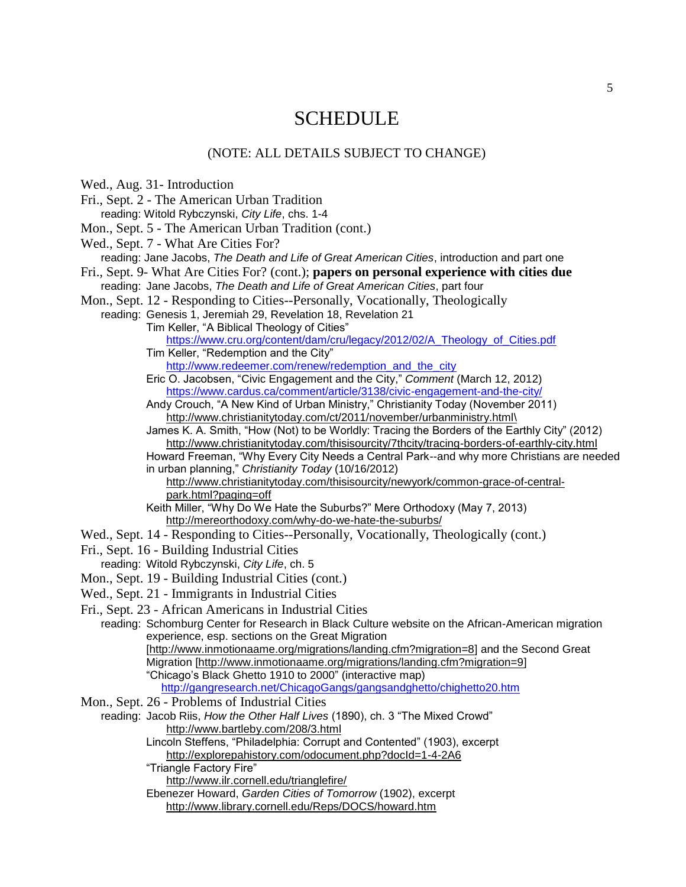# **SCHEDULE**

### (NOTE: ALL DETAILS SUBJECT TO CHANGE)

Wed., Aug. 31- Introduction

- Fri., Sept. 2 The American Urban Tradition reading: Witold Rybczynski, *City Life*, chs. 1-4
- Mon., Sept. 5 The American Urban Tradition (cont.)

Wed., Sept. 7 - What Are Cities For?

reading: Jane Jacobs, *The Death and Life of Great American Cities*, introduction and part one

Fri., Sept. 9- What Are Cities For? (cont.); **papers on personal experience with cities due** reading: Jane Jacobs, *The Death and Life of Great American Cities*, part four

Mon., Sept. 12 - Responding to Cities--Personally, Vocationally, Theologically

reading: Genesis 1, Jeremiah 29, Revelation 18, Revelation 21 Tim Keller, "A Biblical Theology of Cities"

[https://www.cru.org/content/dam/cru/legacy/2012/02/A\\_Theology\\_of\\_Cities.pdf](https://www.cru.org/content/dam/cru/legacy/2012/02/A_Theology_of_Cities.pdf) Tim Keller, "Redemption and the City"

[http://www.redeemer.com/renew/redemption\\_and\\_the\\_city](http://www.redeemer.com/renew/redemption_and_the_city)

Eric O. Jacobsen, "Civic Engagement and the City," *Comment* (March 12, 2012) <https://www.cardus.ca/comment/article/3138/civic-engagement-and-the-city/>

Andy Crouch, "A New Kind of Urban Ministry," Christianity Today (November 2011) [http://www.christianitytoday.com/ct/2011/november/urbanministry.html\](http://www.christianitytoday.com/ct/2011/november/urbanministry.html/)

James K. A. Smith, "How (Not) to be Worldly: Tracing the Borders of the Earthly City" (2012) <http://www.christianitytoday.com/thisisourcity/7thcity/tracing-borders-of-earthly-city.html>

Howard Freeman, "Why Every City Needs a Central Park--and why more Christians are needed in urban planning," *Christianity Today* (10/16/2012)

[http://www.christianitytoday.com/thisisourcity/newyork/common-grace-of-central](http://www.christianitytoday.com/thisisourcity/newyork/common-grace-of-central-park.html?paging=off)[park.html?paging=off](http://www.christianitytoday.com/thisisourcity/newyork/common-grace-of-central-park.html?paging=off)

Keith Miller, "Why Do We Hate the Suburbs?" Mere Orthodoxy (May 7, 2013) <http://mereorthodoxy.com/why-do-we-hate-the-suburbs/>

- Wed., Sept. 14 Responding to Cities--Personally, Vocationally, Theologically (cont.)
- Fri., Sept. 16 Building Industrial Cities
- reading: Witold Rybczynski, *City Life*, ch. 5
- Mon., Sept. 19 Building Industrial Cities (cont.)
- Wed., Sept. 21 Immigrants in Industrial Cities

Fri., Sept. 23 - African Americans in Industrial Cities

reading: Schomburg Center for Research in Black Culture website on the African-American migration experience, esp. sections on the Great Migration [\[http://www.inmotionaame.org/migrations/landing.cfm?migration=8\]](http://www.inmotionaame.org/migrations/landing.cfm?migration=8) and the Second Great Migration [\[http://www.inmotionaame.org/migrations/landing.cfm?migration=9\]](http://www.inmotionaame.org/migrations/landing.cfm?migration=9) "Chicago's Black Ghetto 1910 to 2000" (interactive map) <http://gangresearch.net/ChicagoGangs/gangsandghetto/chighetto20.htm>

- Mon., Sept. 26 Problems of Industrial Cities
- reading: Jacob Riis, *How the Other Half Lives* (1890), ch. 3 "The Mixed Crowd" <http://www.bartleby.com/208/3.html>
	- Lincoln Steffens, "Philadelphia: Corrupt and Contented" (1903), excerpt <http://explorepahistory.com/odocument.php?docId=1-4-2A6>
	- "Triangle Factory Fire"

<http://www.ilr.cornell.edu/trianglefire/>

Ebenezer Howard, *Garden Cities of Tomorrow* (1902), excerpt <http://www.library.cornell.edu/Reps/DOCS/howard.htm>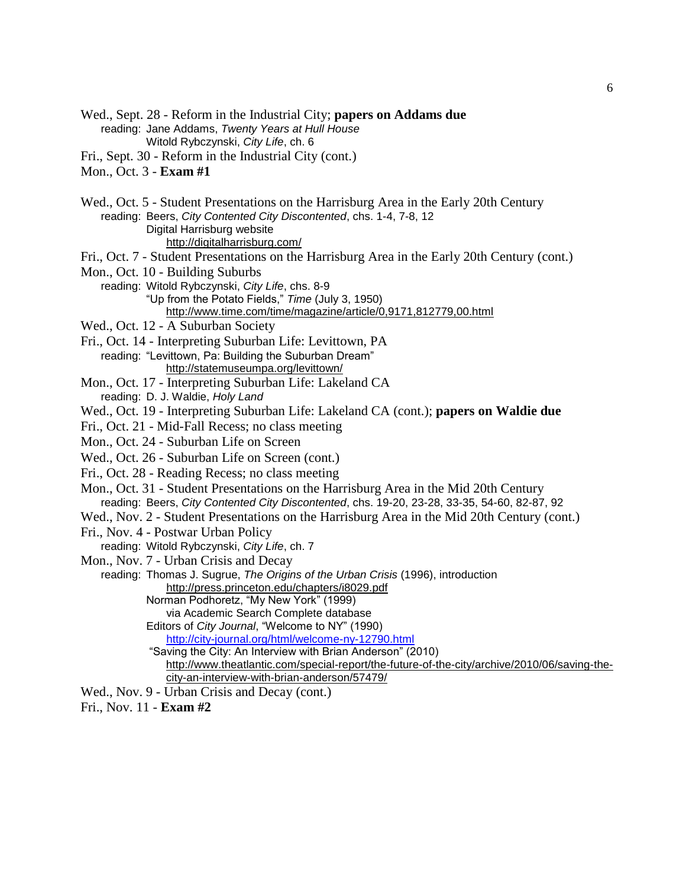Wed., Sept. 28 - Reform in the Industrial City; **papers on Addams due** reading: Jane Addams, *Twenty Years at Hull House*

Witold Rybczynski, *City Life*, ch. 6

Fri., Sept. 30 - Reform in the Industrial City (cont.)

- Mon., Oct. 3 **Exam #1**
- Wed., Oct. 5 Student Presentations on the Harrisburg Area in the Early 20th Century reading: Beers, *City Contented City Discontented*, chs. 1-4, 7-8, 12 Digital Harrisburg website <http://digitalharrisburg.com/>
- Fri., Oct. 7 Student Presentations on the Harrisburg Area in the Early 20th Century (cont.)
- Mon., Oct. 10 Building Suburbs
	- reading: Witold Rybczynski, *City Life*, chs. 8-9 "Up from the Potato Fields," *Time* (July 3, 1950)
		- <http://www.time.com/time/magazine/article/0,9171,812779,00.html>
- Wed., Oct. 12 A Suburban Society
- Fri., Oct. 14 Interpreting Suburban Life: Levittown, PA
	- reading: "Levittown, Pa: Building the Suburban Dream" <http://statemuseumpa.org/levittown/>
- Mon., Oct. 17 Interpreting Suburban Life: Lakeland CA reading: D. J. Waldie, *Holy Land*
- Wed., Oct. 19 Interpreting Suburban Life: Lakeland CA (cont.); **papers on Waldie due**
- Fri., Oct. 21 Mid-Fall Recess; no class meeting
- Mon., Oct. 24 Suburban Life on Screen
- Wed., Oct. 26 Suburban Life on Screen (cont.)
- Fri., Oct. 28 Reading Recess; no class meeting
- Mon., Oct. 31 Student Presentations on the Harrisburg Area in the Mid 20th Century reading: Beers, *City Contented City Discontented*, chs. 19-20, 23-28, 33-35, 54-60, 82-87, 92
- Wed., Nov. 2 Student Presentations on the Harrisburg Area in the Mid 20th Century (cont.)
- Fri., Nov. 4 Postwar Urban Policy
- reading: Witold Rybczynski, *City Life*, ch. 7
- Mon., Nov. 7 Urban Crisis and Decay
	- reading: Thomas J. Sugrue, *The Origins of the Urban Crisis* (1996), introduction <http://press.princeton.edu/chapters/i8029.pdf>
		- Norman Podhoretz, "My New York" (1999)
		- via Academic Search Complete database
		- Editors of *City Journal*, "Welcome to NY" (1990)

<http://city-journal.org/html/welcome-ny-12790.html>

- "Saving the City: An Interview with Brian Anderson" (2010) [http://www.theatlantic.com/special-report/the-future-of-the-city/archive/2010/06/saving-the](http://www.theatlantic.com/special-report/the-future-of-the-city/archive/2010/06/saving-the-city-an-interview-with-brian-anderson/57479/)[city-an-interview-with-brian-anderson/57479/](http://www.theatlantic.com/special-report/the-future-of-the-city/archive/2010/06/saving-the-city-an-interview-with-brian-anderson/57479/)
- Wed., Nov. 9 Urban Crisis and Decay (cont.)

Fri., Nov. 11 - **Exam #2**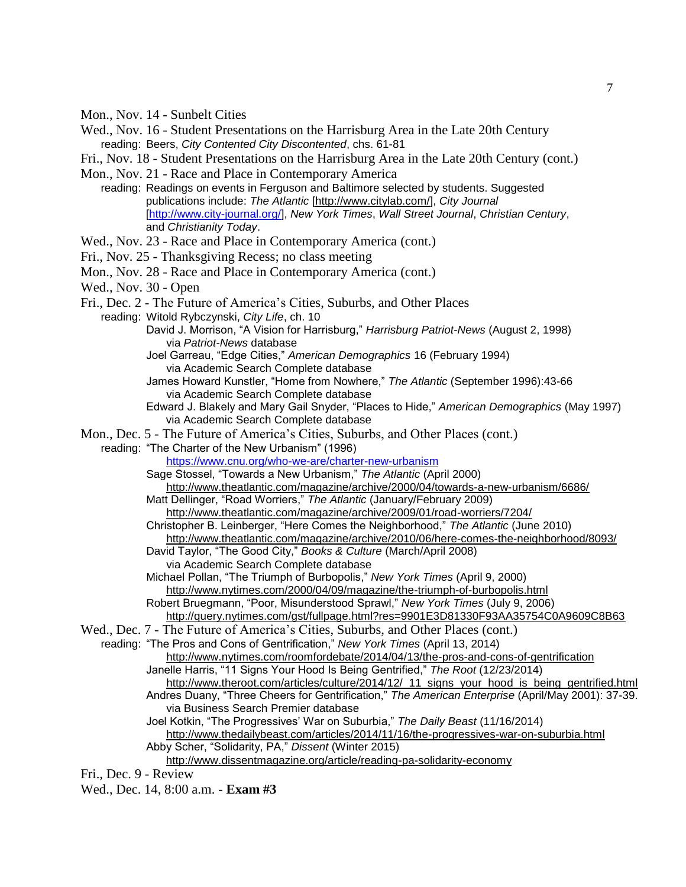- Mon., Nov. 14 Sunbelt Cities
- Wed., Nov. 16 Student Presentations on the Harrisburg Area in the Late 20th Century reading: Beers, *City Contented City Discontented*, chs. 61-81
- Fri., Nov. 18 Student Presentations on the Harrisburg Area in the Late 20th Century (cont.)
- Mon., Nov. 21 Race and Place in Contemporary America
	- reading: Readings on events in Ferguson and Baltimore selected by students. Suggested publications include: *The Atlantic* [\[http://www.citylab.com/\]](http://www.citylab.com/), *City Journal* [\[http://www.city-journal.org/\]](http://www.city-journal.org/), *New York Times*, *Wall Street Journal*, *Christian Century*, and *Christianity Today*.
- Wed., Nov. 23 Race and Place in Contemporary America (cont.)
- Fri., Nov. 25 Thanksgiving Recess; no class meeting
- Mon., Nov. 28 Race and Place in Contemporary America (cont.)
- Wed., Nov. 30 Open
- Fri., Dec. 2 The Future of America's Cities, Suburbs, and Other Places
	- reading: Witold Rybczynski, *City Life*, ch. 10
		- David J. Morrison, "A Vision for Harrisburg," *Harrisburg Patriot-News* (August 2, 1998) via *Patriot-News* database
		- Joel Garreau, "Edge Cities," *American Demographics* 16 (February 1994) via Academic Search Complete database
		- James Howard Kunstler, "Home from Nowhere," *The Atlantic* (September 1996):43-66 via Academic Search Complete database
		- Edward J. Blakely and Mary Gail Snyder, "Places to Hide," *American Demographics* (May 1997) via Academic Search Complete database
- Mon., Dec. 5 The Future of America's Cities, Suburbs, and Other Places (cont.)
- reading: "The Charter of the New Urbanism" (1996)

<https://www.cnu.org/who-we-are/charter-new-urbanism>

Sage Stossel, "Towards a New Urbanism," *The Atlantic* (April 2000)

- <http://www.theatlantic.com/magazine/archive/2000/04/towards-a-new-urbanism/6686/> Matt Dellinger, "Road Worriers," *The Atlantic* (January/February 2009)
- <http://www.theatlantic.com/magazine/archive/2009/01/road-worriers/7204/>
- Christopher B. Leinberger, "Here Comes the Neighborhood," *The Atlantic* (June 2010)

<http://www.theatlantic.com/magazine/archive/2010/06/here-comes-the-neighborhood/8093/> David Taylor, "The Good City," *Books & Culture* (March/April 2008)

via Academic Search Complete database

Michael Pollan, "The Triumph of Burbopolis," *New York Times* (April 9, 2000) <http://www.nytimes.com/2000/04/09/magazine/the-triumph-of-burbopolis.html>

Robert Bruegmann, "Poor, Misunderstood Sprawl," *New York Times* (July 9, 2006)

<http://query.nytimes.com/gst/fullpage.html?res=9901E3D81330F93AA35754C0A9609C8B63>

Wed., Dec. 7 - The Future of America's Cities, Suburbs, and Other Places (cont.)

reading: "The Pros and Cons of Gentrification," *New York Times* (April 13, 2014)

- <http://www.nytimes.com/roomfordebate/2014/04/13/the-pros-and-cons-of-gentrification> Janelle Harris, "11 Signs Your Hood Is Being Gentrified," *The Root* (12/23/2014)
	- [http://www.theroot.com/articles/culture/2014/12/\\_11\\_signs\\_your\\_hood\\_is\\_being\\_gentrified.html](http://www.theroot.com/articles/culture/2014/12/_11_signs_your_hood_is_being_gentrified.html) Andres Duany, "Three Cheers for Gentrification," *The American Enterprise* (April/May 2001): 37-39. via Business Search Premier database
	- Joel Kotkin, "The Progressives' War on Suburbia," *The Daily Beast* (11/16/2014) <http://www.thedailybeast.com/articles/2014/11/16/the-progressives-war-on-suburbia.html> Abby Scher, "Solidarity, PA," *Dissent* (Winter 2015)

<http://www.dissentmagazine.org/article/reading-pa-solidarity-economy>

Fri., Dec. 9 - Review

Wed., Dec. 14, 8:00 a.m. - **Exam #3**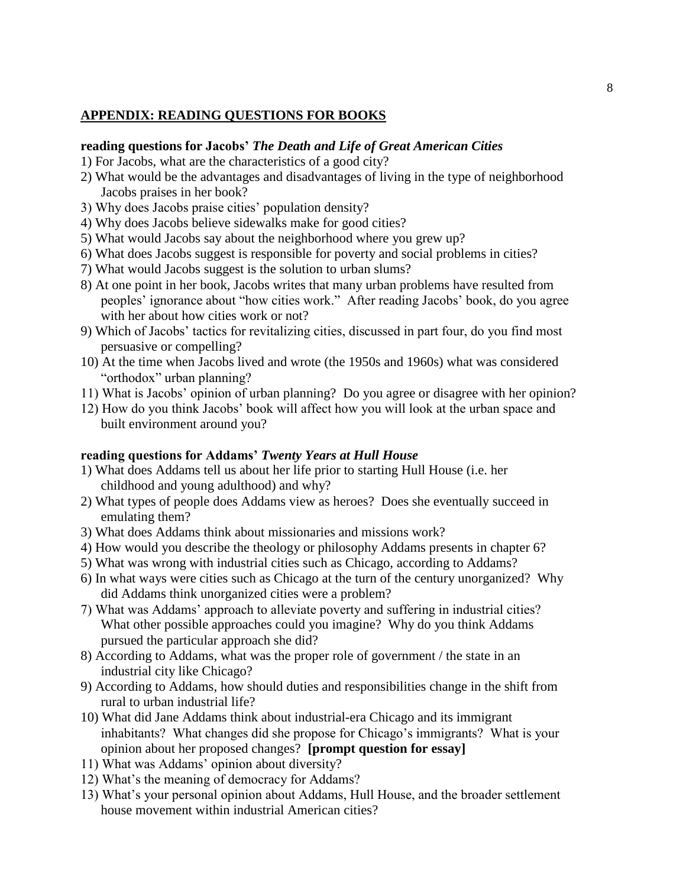# **APPENDIX: READING QUESTIONS FOR BOOKS**

# **reading questions for Jacobs'** *The Death and Life of Great American Cities*

- 1) For Jacobs, what are the characteristics of a good city?
- 2) What would be the advantages and disadvantages of living in the type of neighborhood Jacobs praises in her book?
- 3) Why does Jacobs praise cities' population density?
- 4) Why does Jacobs believe sidewalks make for good cities?
- 5) What would Jacobs say about the neighborhood where you grew up?
- 6) What does Jacobs suggest is responsible for poverty and social problems in cities?
- 7) What would Jacobs suggest is the solution to urban slums?
- 8) At one point in her book, Jacobs writes that many urban problems have resulted from peoples' ignorance about "how cities work." After reading Jacobs' book, do you agree with her about how cities work or not?
- 9) Which of Jacobs' tactics for revitalizing cities, discussed in part four, do you find most persuasive or compelling?
- 10) At the time when Jacobs lived and wrote (the 1950s and 1960s) what was considered "orthodox" urban planning?
- 11) What is Jacobs' opinion of urban planning? Do you agree or disagree with her opinion?
- 12) How do you think Jacobs' book will affect how you will look at the urban space and built environment around you?

# **reading questions for Addams'** *Twenty Years at Hull House*

- 1) What does Addams tell us about her life prior to starting Hull House (i.e. her childhood and young adulthood) and why?
- 2) What types of people does Addams view as heroes? Does she eventually succeed in emulating them?
- 3) What does Addams think about missionaries and missions work?
- 4) How would you describe the theology or philosophy Addams presents in chapter 6?
- 5) What was wrong with industrial cities such as Chicago, according to Addams?
- 6) In what ways were cities such as Chicago at the turn of the century unorganized? Why did Addams think unorganized cities were a problem?
- 7) What was Addams' approach to alleviate poverty and suffering in industrial cities? What other possible approaches could you imagine? Why do you think Addams pursued the particular approach she did?
- 8) According to Addams, what was the proper role of government / the state in an industrial city like Chicago?
- 9) According to Addams, how should duties and responsibilities change in the shift from rural to urban industrial life?
- 10) What did Jane Addams think about industrial-era Chicago and its immigrant inhabitants? What changes did she propose for Chicago's immigrants? What is your opinion about her proposed changes? **[prompt question for essay]**
- 11) What was Addams' opinion about diversity?
- 12) What's the meaning of democracy for Addams?
- 13) What's your personal opinion about Addams, Hull House, and the broader settlement house movement within industrial American cities?